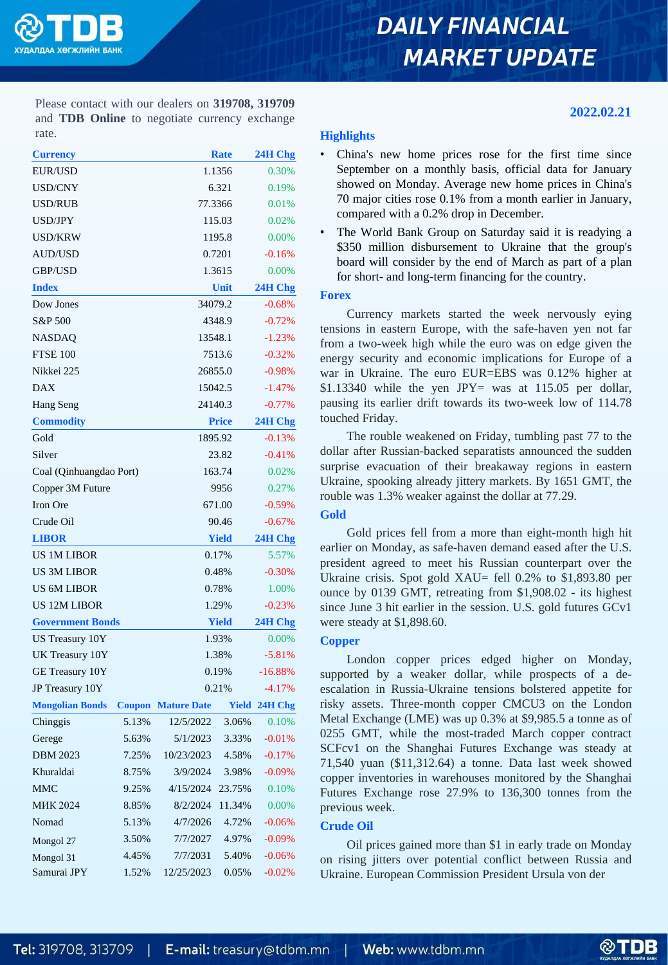

# **DAILY FINANCIAL MARKET UPDATE**

**2022.02.21**

Please contact with our dealers on **319708, 319709** and **TDB Online** to negotiate currency exchange rate.

| <b>Currency</b>         |         |                    | <b>Rate</b>  | 24H Chg  |  |
|-------------------------|---------|--------------------|--------------|----------|--|
| EUR/USD                 |         |                    | 1.1356       |          |  |
| <b>USD/CNY</b>          |         |                    | 6.321        |          |  |
| USD/RUB                 |         | 77.3366            |              |          |  |
| USD/JPY                 |         |                    | 115.03       | 0.02%    |  |
| <b>USD/KRW</b>          |         |                    | 1195.8       | 0.00%    |  |
| <b>AUD/USD</b>          |         | 0.7201             |              |          |  |
| GBP/USD                 |         | 1.3615             |              |          |  |
| <b>Index</b>            |         |                    | Unit         |          |  |
| Dow Jones               |         | 34079.2            |              | $-0.68%$ |  |
| S&P 500                 |         | 4348.9             | $-0.72%$     |          |  |
| NASDAQ                  | 13548.1 | $-1.23%$           |              |          |  |
| <b>FTSE 100</b>         | 7513.6  | $-0.32%$           |              |          |  |
| Nikkei 225              | 26855.0 | $-0.98%$           |              |          |  |
| <b>DAX</b>              | 15042.5 | $-1.47%$           |              |          |  |
| Hang Seng               |         |                    | 24140.3      |          |  |
| <b>Commodity</b>        |         | <b>Price</b>       |              |          |  |
| Gold                    |         |                    | 1895.92      |          |  |
| Silver                  | 23.82   | $-0.41%$           |              |          |  |
| Coal (Qinhuangdao Port) | 163.74  |                    | 0.02%        |          |  |
| Copper 3M Future        |         | 9956               |              | 0.27%    |  |
| Iron Ore                |         |                    | 671.00       |          |  |
| Crude Oil               |         |                    | 90.46        |          |  |
| <b>LIBOR</b>            |         |                    | <b>Yield</b> |          |  |
| <b>US 1M LIBOR</b>      |         |                    | 0.17%        |          |  |
| <b>US 3M LIBOR</b>      |         | 0.48%              |              | $-0.30%$ |  |
| <b>US 6M LIBOR</b>      |         | 0.78%              |              | 1.00%    |  |
| <b>US 12M LIBOR</b>     | 1.29%   | $-0.23%$           |              |          |  |
| <b>Government Bonds</b> |         | <b>Yield</b>       |              |          |  |
| US Treasury 10Y         | 1.93%   |                    | 0.00%        |          |  |
| UK Treasury 10Y         |         | 1.38%              |              | $-5.81%$ |  |
| GE Treasury 10Y         |         | 0.19%              |              | -16.88%  |  |
| JP Treasury 10Y         |         | 0.21%              |              | $-4.17%$ |  |
| <b>Mongolian Bonds</b>  | Coupon  | <b>Mature Date</b> | Yield        | 24H Chg  |  |
| Chinggis                | 5.13%   | 12/5/2022          | 3.06%        | 0.10%    |  |
| Gerege                  | 5.63%   | 5/1/2023           | 3.33%        | $-0.01%$ |  |
| <b>DBM 2023</b>         | 7.25%   | 10/23/2023         | 4.58%        | $-0.17%$ |  |
| Khuraldai               | 8.75%   | 3/9/2024           | 3.98%        | $-0.09%$ |  |
| <b>MMC</b>              | 9.25%   | 4/15/2024          | 23.75%       | 0.10%    |  |
| <b>MHK 2024</b>         | 8.85%   | 8/2/2024           | 11.34%       | 0.00%    |  |
| Nomad                   | 5.13%   | 4/7/2026           | 4.72%        | $-0.06%$ |  |
| Mongol 27               | 3.50%   | 7/7/2027           | 4.97%        | $-0.09%$ |  |
| Mongol 31               | 4.45%   | 7/7/2031           | 5.40%        | $-0.06%$ |  |
| Samurai JPY             | 1.52%   | 12/25/2023         | 0.05%        | $-0.02%$ |  |

# **Highlights**

- China's new home prices rose for the first time since September on a monthly basis, official data for January showed on Monday. Average new home prices in China's 70 major cities rose 0.1% from a month earlier in January, compared with a 0.2% drop in December.
- The World Bank Group on Saturday said it is readying a \$350 million disbursement to Ukraine that the group's board will consider by the end of March as part of a plan for short- and long-term financing for the country.

### **Forex**

Currency markets started the week nervously eying tensions in eastern Europe, with the safe-haven yen not far from a two-week high while the euro was on edge given the energy security and economic implications for Europe of a war in Ukraine. The euro EUR=EBS was 0.12% higher at \$1.13340 while the yen  $JPY=$  was at 115.05 per dollar, pausing its earlier drift towards its two-week low of 114.78 touched Friday.

The rouble weakened on Friday, tumbling past 77 to the dollar after Russian-backed separatists announced the sudden surprise evacuation of their breakaway regions in eastern Ukraine, spooking already jittery markets. By 1651 GMT, the rouble was 1.3% weaker against the dollar at 77.29.

# **Gold**

Gold prices fell from a more than eight-month high hit earlier on Monday, as safe-haven demand eased after the U.S. president agreed to meet his Russian counterpart over the Ukraine crisis. Spot gold XAU= fell 0.2% to \$1,893.80 per ounce by 0139 GMT, retreating from \$1,908.02 - its highest since June 3 hit earlier in the session. U.S. gold futures GCv1 were steady at \$1,898.60.

# **Copper**

London copper prices edged higher on Monday, supported by a weaker dollar, while prospects of a deescalation in Russia-Ukraine tensions bolstered appetite for risky assets. Three-month copper CMCU3 on the London Metal Exchange (LME) was up 0.3% at \$9,985.5 a tonne as of 0255 GMT, while the most-traded March copper contract SCFcv1 on the Shanghai Futures Exchange was steady at 71,540 yuan (\$11,312.64) a tonne. Data last week showed copper inventories in warehouses monitored by the Shanghai Futures Exchange rose 27.9% to 136,300 tonnes from the previous week.

# **Crude Oil**

Oil prices gained more than \$1 in early trade on Monday on rising jitters over potential conflict between Russia and Ukraine. European Commission President Ursula von der

@TDB